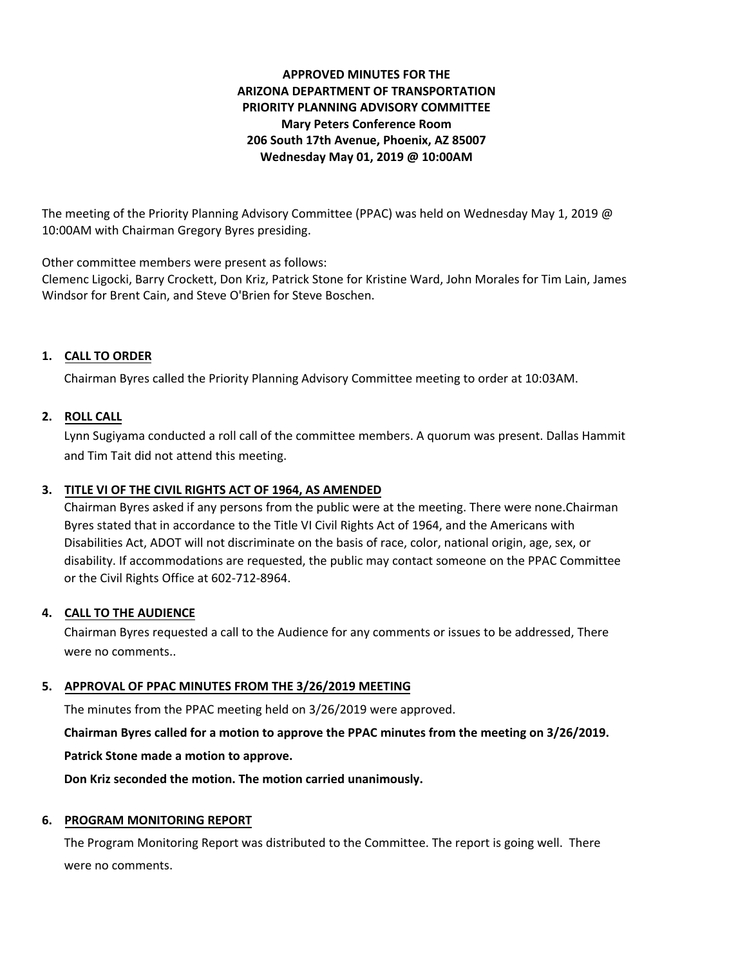# **APPROVED MINUTES FOR THE ARIZONA DEPARTMENT OF TRANSPORTATION PRIORITY PLANNING ADVISORY COMMITTEE Mary Peters Conference Room 206 South 17th Avenue, Phoenix, AZ 85007 Wednesday May 01, 2019 @ 10:00AM**

The meeting of the Priority Planning Advisory Committee (PPAC) was held on Wednesday May 1, 2019 @ 10:00AM with Chairman Gregory Byres presiding.

Other committee members were present as follows:

Clemenc Ligocki, Barry Crockett, Don Kriz, Patrick Stone for Kristine Ward, John Morales for Tim Lain, James Windsor for Brent Cain, and Steve O'Brien for Steve Boschen.

# **1. CALL TO ORDER**

Chairman Byres called the Priority Planning Advisory Committee meeting to order at 10:03AM.

## **2. ROLL CALL**

Lynn Sugiyama conducted a roll call of the committee members. A quorum was present. Dallas Hammit and Tim Tait did not attend this meeting.

# **3. TITLE VI OF THE CIVIL RIGHTS ACT OF 1964, AS AMENDED**

Chairman Byres asked if any persons from the public were at the meeting. There were none.Chairman Byres stated that in accordance to the Title VI Civil Rights Act of 1964, and the Americans with Disabilities Act, ADOT will not discriminate on the basis of race, color, national origin, age, sex, or disability. If accommodations are requested, the public may contact someone on the PPAC Committee or the Civil Rights Office at 602-712-8964.

### **4. CALL TO THE AUDIENCE**

Chairman Byres requested a call to the Audience for any comments or issues to be addressed, There were no comments..

### **5. APPROVAL OF PPAC MINUTES FROM THE 3/26/2019 MEETING**

The minutes from the PPAC meeting held on 3/26/2019 were approved.

**Chairman Byres called for a motion to approve the PPAC minutes from the meeting on 3/26/2019.**

**Patrick Stone made a motion to approve.**

**Don Kriz seconded the motion. The motion carried unanimously.**

### **6. PROGRAM MONITORING REPORT**

The Program Monitoring Report was distributed to the Committee. The report is going well. There were no comments.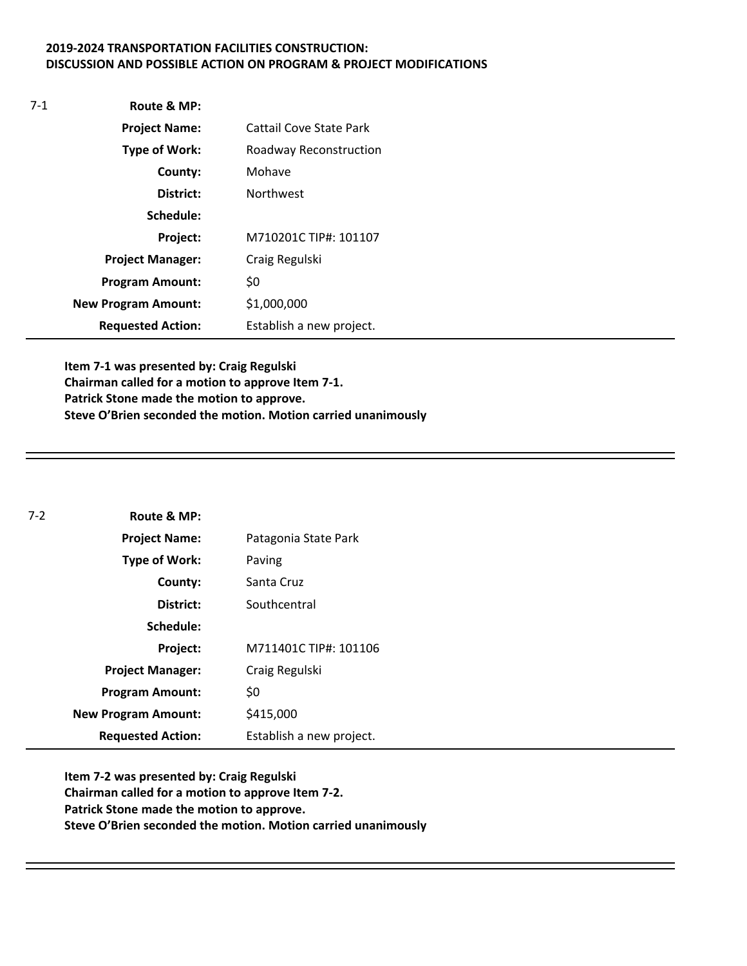#### **2019-2024 TRANSPORTATION FACILITIES CONSTRUCTION: DISCUSSION AND POSSIBLE ACTION ON PROGRAM & PROJECT MODIFICATIONS**

| $7-1$ | Route & MP:                |                                |
|-------|----------------------------|--------------------------------|
|       | <b>Project Name:</b>       | <b>Cattail Cove State Park</b> |
|       | Type of Work:              | Roadway Reconstruction         |
|       | County:                    | Mohave                         |
|       | District:                  | <b>Northwest</b>               |
|       | Schedule:                  |                                |
|       | Project:                   | M710201C TIP#: 101107          |
|       | <b>Project Manager:</b>    | Craig Regulski                 |
|       | <b>Program Amount:</b>     | \$0                            |
|       | <b>New Program Amount:</b> | \$1,000,000                    |
|       | <b>Requested Action:</b>   | Establish a new project.       |

**Item 7-1 was presented by: Craig Regulski Chairman called for a motion to approve Item 7-1. Patrick Stone made the motion to approve. Steve O'Brien seconded the motion. Motion carried unanimously** 

| $7-2$ | Route & MP:                |                          |
|-------|----------------------------|--------------------------|
|       | <b>Project Name:</b>       | Patagonia State Park     |
|       | <b>Type of Work:</b>       | Paving                   |
|       | County:                    | Santa Cruz               |
|       | District:                  | Southcentral             |
|       | Schedule:                  |                          |
|       | Project:                   | M711401C TIP#: 101106    |
|       | <b>Project Manager:</b>    | Craig Regulski           |
|       | <b>Program Amount:</b>     | \$0                      |
|       | <b>New Program Amount:</b> | \$415,000                |
|       | <b>Requested Action:</b>   | Establish a new project. |

**Item 7-2 was presented by: Craig Regulski Chairman called for a motion to approve Item 7-2. Patrick Stone made the motion to approve. Steve O'Brien seconded the motion. Motion carried unanimously**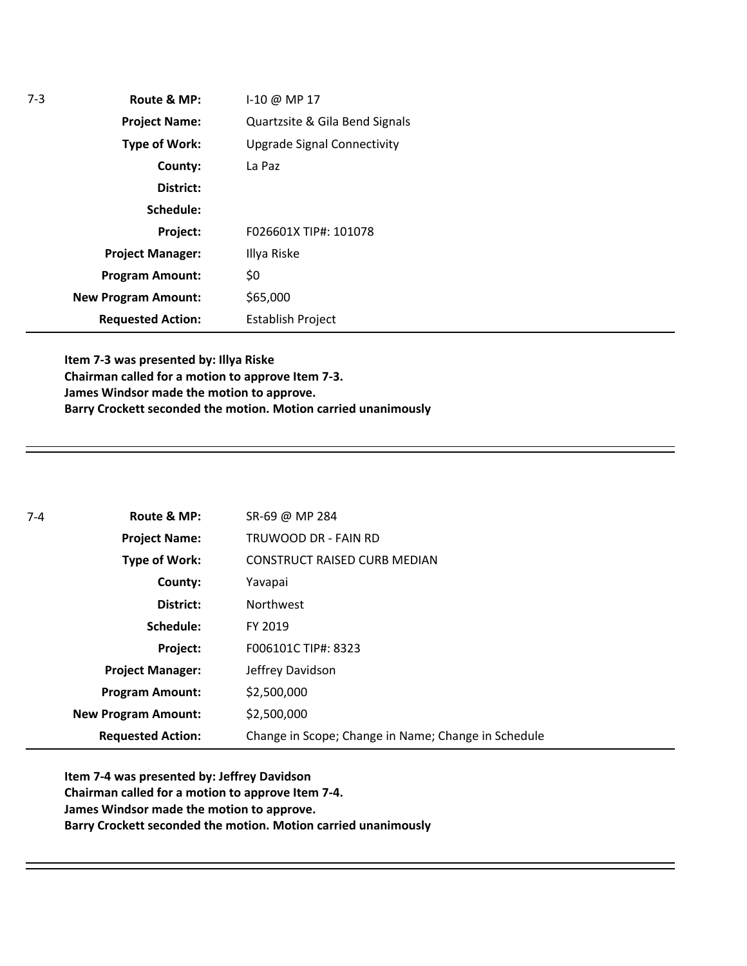| $7-3$ | Route & MP:                | I-10 @ MP 17                       |
|-------|----------------------------|------------------------------------|
|       | <b>Project Name:</b>       | Quartzsite & Gila Bend Signals     |
|       | <b>Type of Work:</b>       | <b>Upgrade Signal Connectivity</b> |
|       | County:                    | La Paz                             |
|       | District:                  |                                    |
|       | Schedule:                  |                                    |
|       | Project:                   | F026601X TIP#: 101078              |
|       | <b>Project Manager:</b>    | Illya Riske                        |
|       | <b>Program Amount:</b>     | \$0                                |
|       | <b>New Program Amount:</b> | \$65,000                           |
|       | <b>Requested Action:</b>   | <b>Establish Project</b>           |

**Item 7-3 was presented by: Illya Riske Chairman called for a motion to approve Item 7-3. James Windsor made the motion to approve. Barry Crockett seconded the motion. Motion carried unanimously** 

| $7-4$ | Route & MP:                | SR-69 @ MP 284                                      |
|-------|----------------------------|-----------------------------------------------------|
|       | <b>Project Name:</b>       | TRUWOOD DR - FAIN RD                                |
|       | <b>Type of Work:</b>       | <b>CONSTRUCT RAISED CURB MEDIAN</b>                 |
|       | County:                    | Yavapai                                             |
|       | District:                  | <b>Northwest</b>                                    |
|       | Schedule:                  | FY 2019                                             |
|       | Project:                   | F006101C TIP#: 8323                                 |
|       | <b>Project Manager:</b>    | Jeffrey Davidson                                    |
|       | <b>Program Amount:</b>     | \$2,500,000                                         |
|       | <b>New Program Amount:</b> | \$2,500,000                                         |
|       | <b>Requested Action:</b>   | Change in Scope; Change in Name; Change in Schedule |

**Item 7-4 was presented by: Jeffrey Davidson Chairman called for a motion to approve Item 7-4. James Windsor made the motion to approve. Barry Crockett seconded the motion. Motion carried unanimously**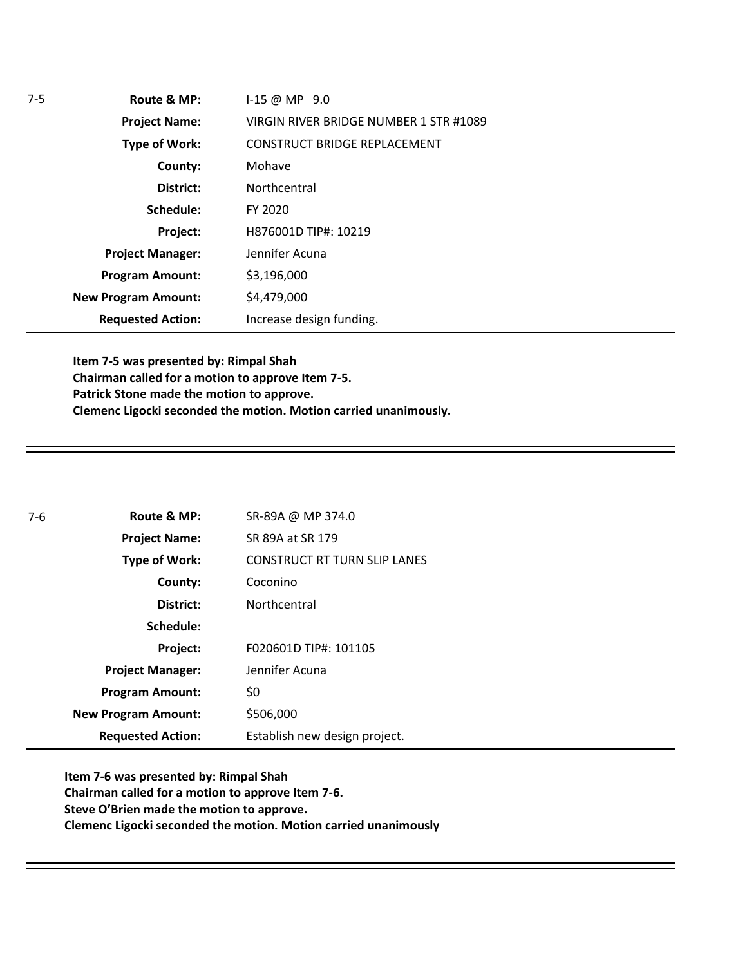| $7-5$ | Route & MP:                | $1-15 \text{ } \textcircled{a}$ MP $9.0$ |
|-------|----------------------------|------------------------------------------|
|       | <b>Project Name:</b>       | VIRGIN RIVER BRIDGE NUMBER 1 STR #1089   |
|       | <b>Type of Work:</b>       | <b>CONSTRUCT BRIDGE REPLACEMENT</b>      |
|       | County:                    | Mohave                                   |
|       | District:                  | Northcentral                             |
|       | Schedule:                  | FY 2020                                  |
|       | Project:                   | H876001D TIP#: 10219                     |
|       | <b>Project Manager:</b>    | Jennifer Acuna                           |
|       | <b>Program Amount:</b>     | \$3,196,000                              |
|       | <b>New Program Amount:</b> | \$4,479,000                              |
|       | <b>Requested Action:</b>   | Increase design funding.                 |

**Item 7-5 was presented by: Rimpal Shah Chairman called for a motion to approve Item 7-5. Patrick Stone made the motion to approve. Clemenc Ligocki seconded the motion. Motion carried unanimously.**

| 7-6 | Route & MP:                | SR-89A @ MP 374.0                   |  |
|-----|----------------------------|-------------------------------------|--|
|     | <b>Project Name:</b>       | SR 89A at SR 179                    |  |
|     | Type of Work:              | <b>CONSTRUCT RT TURN SLIP LANES</b> |  |
|     | County:                    | Coconino                            |  |
|     | District:                  | Northcentral                        |  |
|     | Schedule:                  |                                     |  |
|     | Project:                   | F020601D TIP#: 101105               |  |
|     | <b>Project Manager:</b>    | Jennifer Acuna                      |  |
|     | <b>Program Amount:</b>     | \$0                                 |  |
|     | <b>New Program Amount:</b> | \$506,000                           |  |
|     | <b>Requested Action:</b>   | Establish new design project.       |  |

**Item 7-6 was presented by: Rimpal Shah Chairman called for a motion to approve Item 7-6. Steve O'Brien made the motion to approve. Clemenc Ligocki seconded the motion. Motion carried unanimously**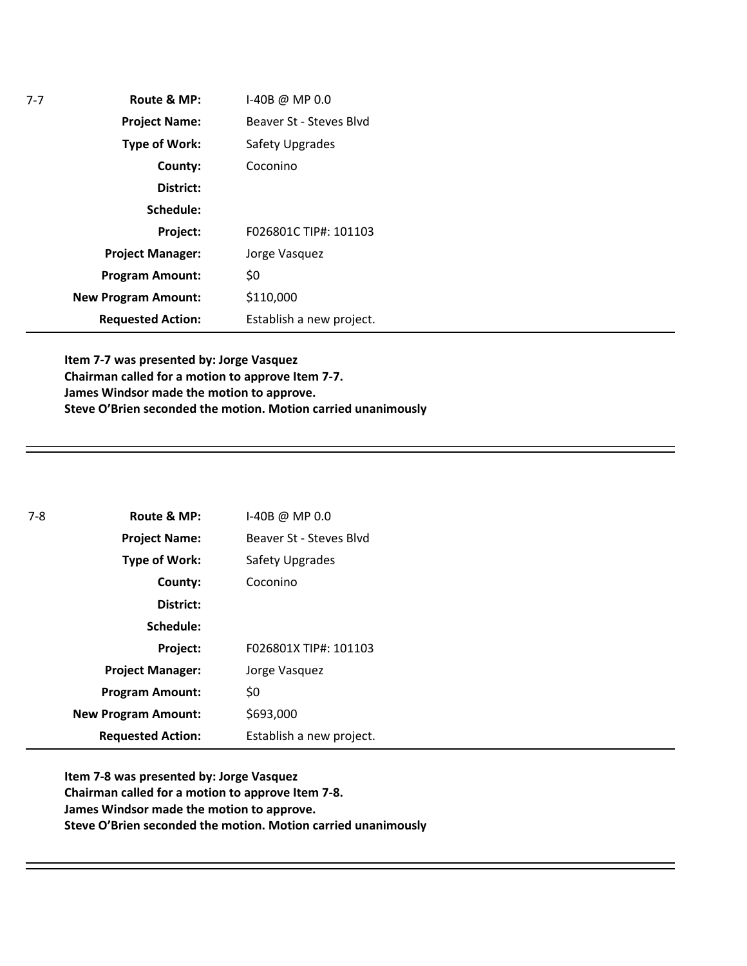| $7-7$ | Route & MP:                | I-40B @ MP 0.0           |
|-------|----------------------------|--------------------------|
|       | <b>Project Name:</b>       | Beaver St - Steves Blyd  |
|       | <b>Type of Work:</b>       | Safety Upgrades          |
|       | County:                    | Coconino                 |
|       | District:                  |                          |
|       | Schedule:                  |                          |
|       | Project:                   | F026801C TIP#: 101103    |
|       | <b>Project Manager:</b>    | Jorge Vasquez            |
|       | <b>Program Amount:</b>     | \$0                      |
|       | <b>New Program Amount:</b> | \$110,000                |
|       | <b>Requested Action:</b>   | Establish a new project. |

**Item 7-7 was presented by: Jorge Vasquez Chairman called for a motion to approve Item 7-7. James Windsor made the motion to approve. Steve O'Brien seconded the motion. Motion carried unanimously** 

| 7-8 | Route & MP:                | $I-40B @ MP 0.0$         |
|-----|----------------------------|--------------------------|
|     | <b>Project Name:</b>       | Beaver St - Steves Blyd  |
|     | <b>Type of Work:</b>       | Safety Upgrades          |
|     | County:                    | Coconino                 |
|     | District:                  |                          |
|     | Schedule:                  |                          |
|     | Project:                   | F026801X TIP#: 101103    |
|     | <b>Project Manager:</b>    | Jorge Vasquez            |
|     | <b>Program Amount:</b>     | \$0                      |
|     | <b>New Program Amount:</b> | \$693,000                |
|     | <b>Requested Action:</b>   | Establish a new project. |

**Item 7-8 was presented by: Jorge Vasquez Chairman called for a motion to approve Item 7-8. James Windsor made the motion to approve. Steve O'Brien seconded the motion. Motion carried unanimously**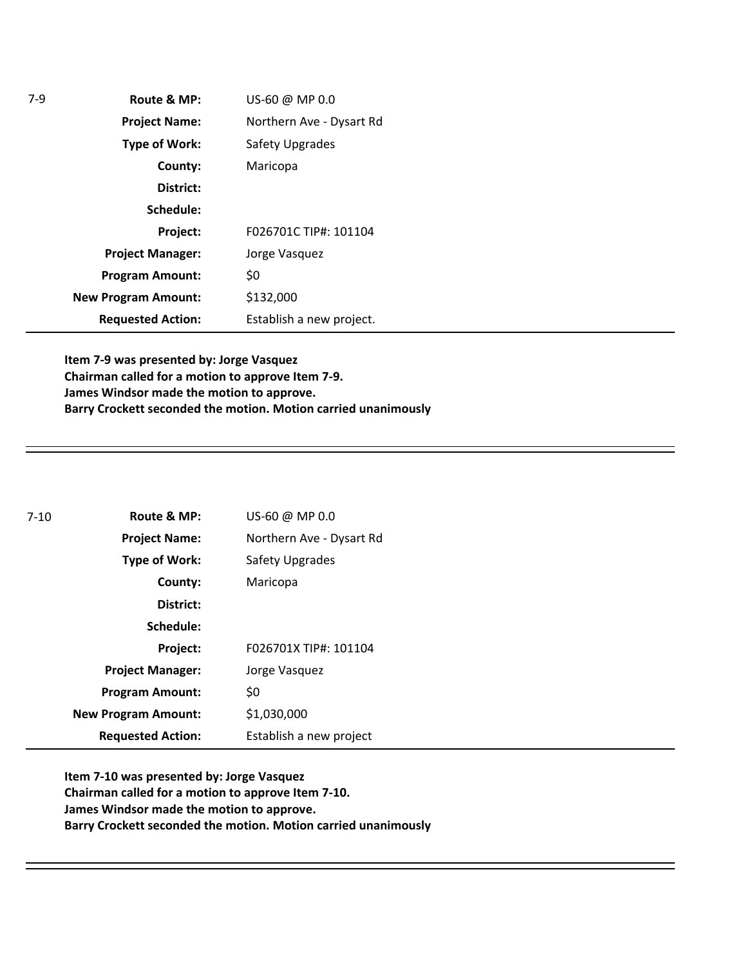| 7-9 | Route & MP:                | US-60 @ MP 0.0           |
|-----|----------------------------|--------------------------|
|     | <b>Project Name:</b>       | Northern Ave - Dysart Rd |
|     | <b>Type of Work:</b>       | Safety Upgrades          |
|     | County:                    | Maricopa                 |
|     | District:                  |                          |
|     | Schedule:                  |                          |
|     | Project:                   | F026701C TIP#: 101104    |
|     | <b>Project Manager:</b>    | Jorge Vasquez            |
|     | <b>Program Amount:</b>     | \$0                      |
|     | <b>New Program Amount:</b> | \$132,000                |
|     | <b>Requested Action:</b>   | Establish a new project. |

**Item 7-9 was presented by: Jorge Vasquez Chairman called for a motion to approve Item 7-9. James Windsor made the motion to approve. Barry Crockett seconded the motion. Motion carried unanimously** 

| $7-10$ | Route & MP:                | US-60 @ MP 0.0           |
|--------|----------------------------|--------------------------|
|        | <b>Project Name:</b>       | Northern Ave - Dysart Rd |
|        | <b>Type of Work:</b>       | <b>Safety Upgrades</b>   |
|        | County:                    | Maricopa                 |
|        | District:                  |                          |
|        | Schedule:                  |                          |
|        | Project:                   | F026701X TIP#: 101104    |
|        | <b>Project Manager:</b>    | Jorge Vasquez            |
|        | <b>Program Amount:</b>     | \$0                      |
|        | <b>New Program Amount:</b> | \$1,030,000              |
|        | <b>Requested Action:</b>   | Establish a new project  |

**Item 7-10 was presented by: Jorge Vasquez Chairman called for a motion to approve Item 7-10. James Windsor made the motion to approve. Barry Crockett seconded the motion. Motion carried unanimously**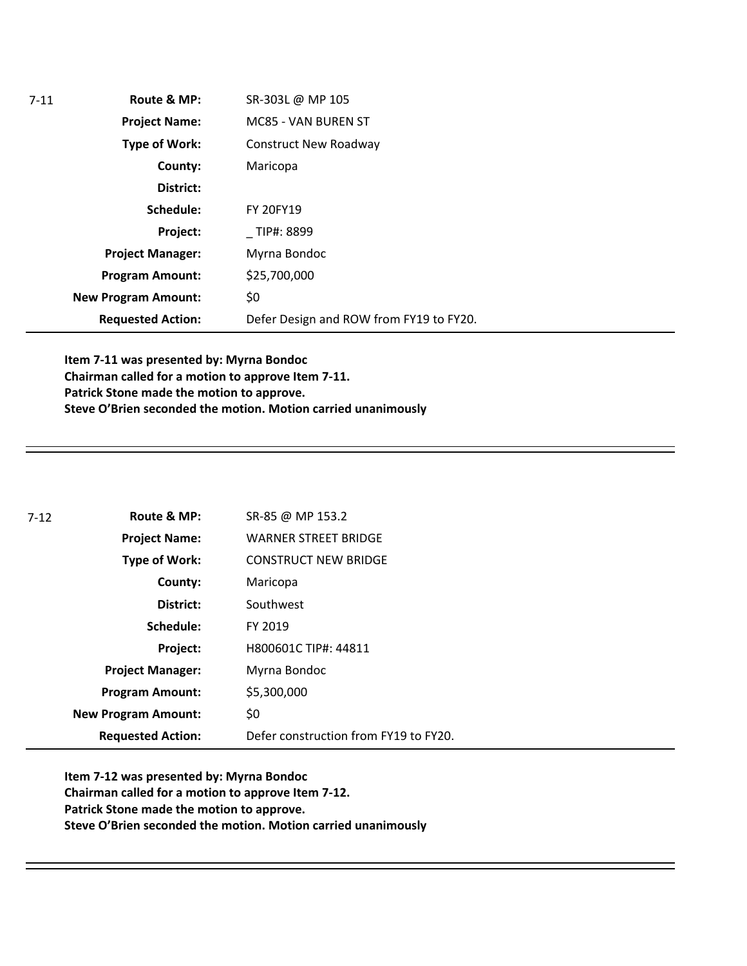| 7-11 | Route & MP:                | SR-303L @ MP 105                        |
|------|----------------------------|-----------------------------------------|
|      | <b>Project Name:</b>       | MC85 - VAN BUREN ST                     |
|      | <b>Type of Work:</b>       | <b>Construct New Roadway</b>            |
|      | County:                    | Maricopa                                |
|      | District:                  |                                         |
|      | Schedule:                  | <b>FY 20FY19</b>                        |
|      | Project:                   | TIP#: 8899                              |
|      | <b>Project Manager:</b>    | Myrna Bondoc                            |
|      | <b>Program Amount:</b>     | \$25,700,000                            |
|      | <b>New Program Amount:</b> | \$0                                     |
|      | <b>Requested Action:</b>   | Defer Design and ROW from FY19 to FY20. |

**Item 7-11 was presented by: Myrna Bondoc Chairman called for a motion to approve Item 7-11. Patrick Stone made the motion to approve. Steve O'Brien seconded the motion. Motion carried unanimously** 

| 7-12 | Route & MP:                | SR-85 @ MP 153.2                      |
|------|----------------------------|---------------------------------------|
|      | <b>Project Name:</b>       | <b>WARNER STREET BRIDGE</b>           |
|      | <b>Type of Work:</b>       | <b>CONSTRUCT NEW BRIDGE</b>           |
|      | County:                    | Maricopa                              |
|      | District:                  | Southwest                             |
|      | Schedule:                  | FY 2019                               |
|      | Project:                   | H800601C TIP#: 44811                  |
|      | <b>Project Manager:</b>    | Myrna Bondoc                          |
|      | <b>Program Amount:</b>     | \$5,300,000                           |
|      | <b>New Program Amount:</b> | \$0                                   |
|      | <b>Requested Action:</b>   | Defer construction from FY19 to FY20. |

**Item 7-12 was presented by: Myrna Bondoc Chairman called for a motion to approve Item 7-12. Patrick Stone made the motion to approve. Steve O'Brien seconded the motion. Motion carried unanimously**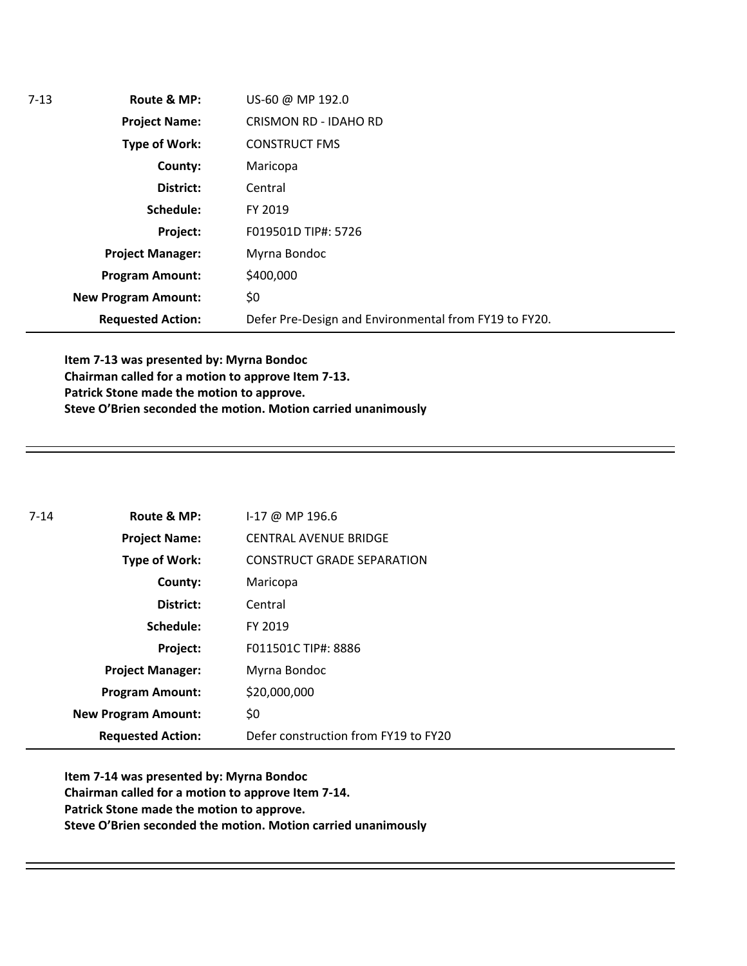| $7-13$ | Route & MP:                | US-60 @ MP 192.0                                      |
|--------|----------------------------|-------------------------------------------------------|
|        | <b>Project Name:</b>       | <b>CRISMON RD - IDAHO RD</b>                          |
|        | Type of Work:              | <b>CONSTRUCT FMS</b>                                  |
|        | County:                    | Maricopa                                              |
|        | District:                  | Central                                               |
|        | Schedule:                  | FY 2019                                               |
|        | Project:                   | F019501D TIP#: 5726                                   |
|        | <b>Project Manager:</b>    | Myrna Bondoc                                          |
|        | <b>Program Amount:</b>     | \$400,000                                             |
|        | <b>New Program Amount:</b> | \$0                                                   |
|        | <b>Requested Action:</b>   | Defer Pre-Design and Environmental from FY19 to FY20. |
|        |                            |                                                       |

**Item 7-13 was presented by: Myrna Bondoc Chairman called for a motion to approve Item 7-13. Patrick Stone made the motion to approve. Steve O'Brien seconded the motion. Motion carried unanimously** 

| 7-14 | Route & MP:                | $1-17$ @ MP 196.6                    |
|------|----------------------------|--------------------------------------|
|      | <b>Project Name:</b>       | <b>CENTRAL AVENUE BRIDGE</b>         |
|      | <b>Type of Work:</b>       | <b>CONSTRUCT GRADE SEPARATION</b>    |
|      | County:                    | Maricopa                             |
|      | District:                  | Central                              |
|      | Schedule:                  | FY 2019                              |
|      | Project:                   | F011501C TIP#: 8886                  |
|      | <b>Project Manager:</b>    | Myrna Bondoc                         |
|      | <b>Program Amount:</b>     | \$20,000,000                         |
|      | <b>New Program Amount:</b> | \$0                                  |
|      | <b>Requested Action:</b>   | Defer construction from FY19 to FY20 |

**Item 7-14 was presented by: Myrna Bondoc Chairman called for a motion to approve Item 7-14. Patrick Stone made the motion to approve. Steve O'Brien seconded the motion. Motion carried unanimously**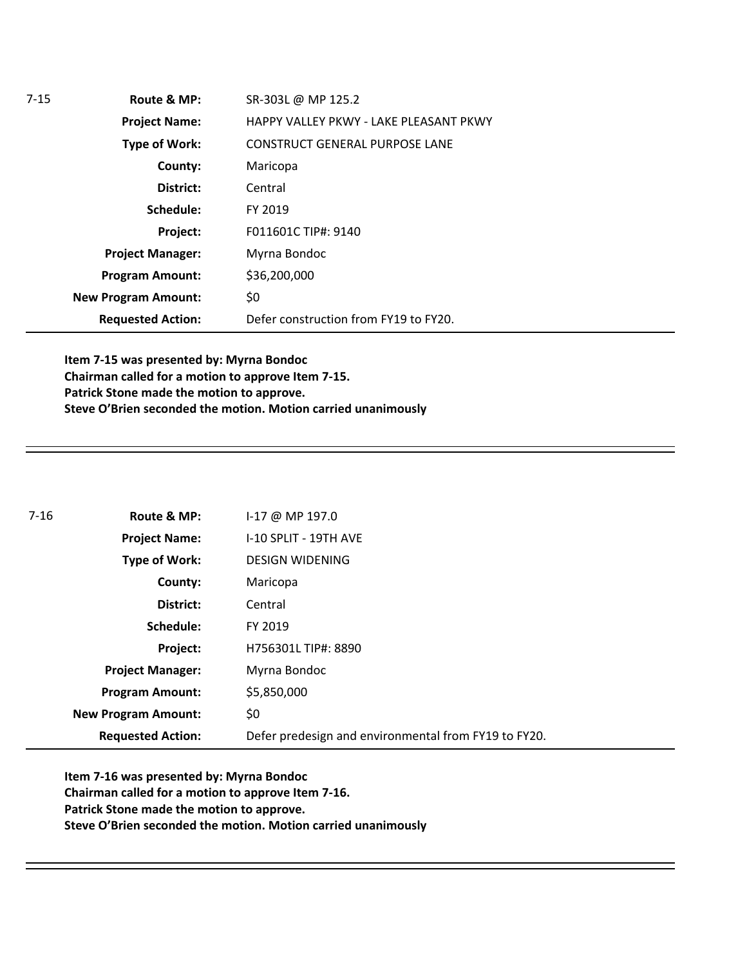| SR-303L @ MP 125.2                     |
|----------------------------------------|
| HAPPY VALLEY PKWY - LAKE PLEASANT PKWY |
| <b>CONSTRUCT GENERAL PURPOSE LANE</b>  |
| Maricopa                               |
| Central                                |
| FY 2019                                |
| F011601C TIP#: 9140                    |
| Myrna Bondoc                           |
| \$36,200,000                           |
| \$0                                    |
| Defer construction from FY19 to FY20.  |
|                                        |

**Item 7-15 was presented by: Myrna Bondoc Chairman called for a motion to approve Item 7-15. Patrick Stone made the motion to approve. Steve O'Brien seconded the motion. Motion carried unanimously** 

| $7 - 16$ | Route & MP:                | I-17 @ MP 197.0                                      |
|----------|----------------------------|------------------------------------------------------|
|          | <b>Project Name:</b>       | I-10 SPLIT - 19TH AVE                                |
|          | Type of Work:              | <b>DESIGN WIDENING</b>                               |
|          | County:                    | Maricopa                                             |
|          | District:                  | Central                                              |
|          | Schedule:                  | FY 2019                                              |
|          | Project:                   | H756301L TIP#: 8890                                  |
|          | <b>Project Manager:</b>    | Myrna Bondoc                                         |
|          | <b>Program Amount:</b>     | \$5,850,000                                          |
|          | <b>New Program Amount:</b> | \$0                                                  |
|          | <b>Requested Action:</b>   | Defer predesign and environmental from FY19 to FY20. |

**Item 7-16 was presented by: Myrna Bondoc Chairman called for a motion to approve Item 7-16. Patrick Stone made the motion to approve. Steve O'Brien seconded the motion. Motion carried unanimously**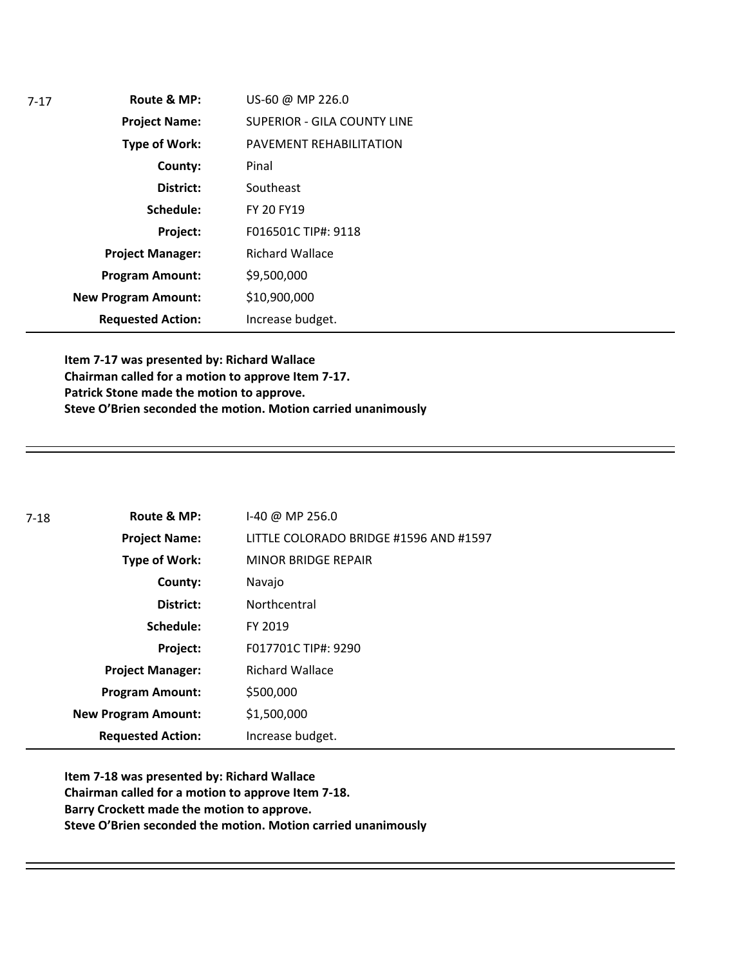| $7-17$ | Route & MP:                | US-60 @ MP 226.0                   |
|--------|----------------------------|------------------------------------|
|        | <b>Project Name:</b>       | <b>SUPERIOR - GILA COUNTY LINE</b> |
|        | <b>Type of Work:</b>       | PAVEMENT REHABILITATION            |
|        | County:                    | Pinal                              |
|        | District:                  | Southeast                          |
|        | Schedule:                  | FY 20 FY19                         |
|        | Project:                   | F016501C TIP#: 9118                |
|        | <b>Project Manager:</b>    | <b>Richard Wallace</b>             |
|        | <b>Program Amount:</b>     | \$9,500,000                        |
|        | <b>New Program Amount:</b> | \$10,900,000                       |
|        | <b>Requested Action:</b>   | Increase budget.                   |

**Item 7-17 was presented by: Richard Wallace Chairman called for a motion to approve Item 7-17. Patrick Stone made the motion to approve. Steve O'Brien seconded the motion. Motion carried unanimously** 

| 7-18 | Route & MP:                | $1-40 \omega$ MP 256.0                 |
|------|----------------------------|----------------------------------------|
|      | <b>Project Name:</b>       | LITTLE COLORADO BRIDGE #1596 AND #1597 |
|      | Type of Work:              | <b>MINOR BRIDGE REPAIR</b>             |
|      | County:                    | Navajo                                 |
|      | District:                  | Northcentral                           |
|      | Schedule:                  | FY 2019                                |
|      | Project:                   | F017701C TIP#: 9290                    |
|      | <b>Project Manager:</b>    | <b>Richard Wallace</b>                 |
|      | <b>Program Amount:</b>     | \$500,000                              |
|      | <b>New Program Amount:</b> | \$1,500,000                            |
|      | <b>Requested Action:</b>   | Increase budget.                       |

**Item 7-18 was presented by: Richard Wallace Chairman called for a motion to approve Item 7-18. Barry Crockett made the motion to approve. Steve O'Brien seconded the motion. Motion carried unanimously**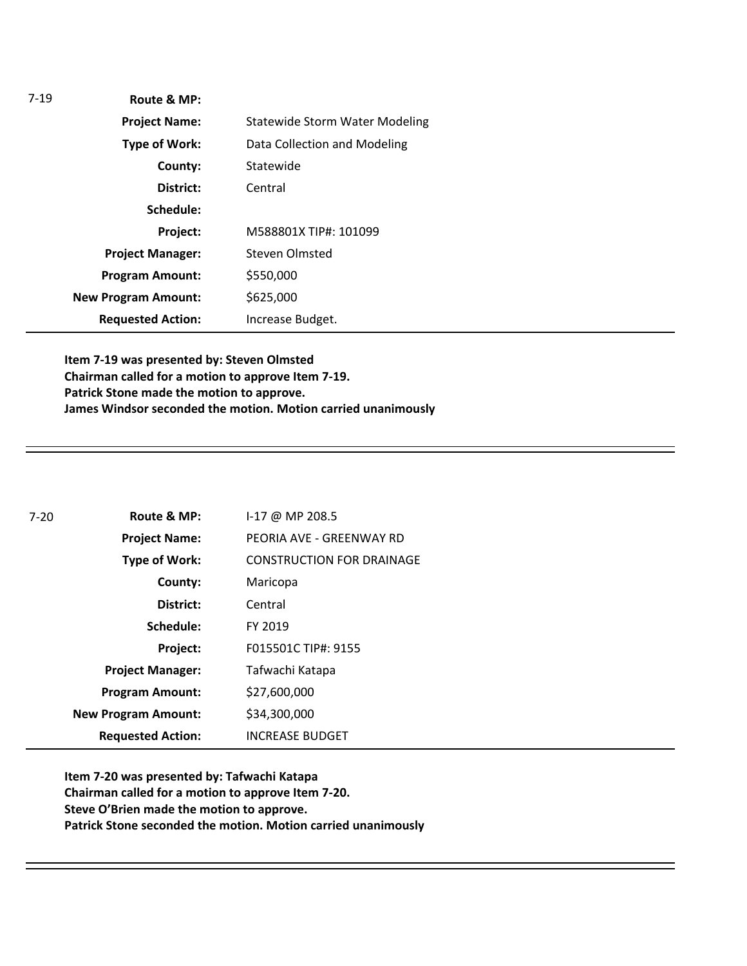| $7-19$               | Route & MP:                |                                       |
|----------------------|----------------------------|---------------------------------------|
|                      | <b>Project Name:</b>       | <b>Statewide Storm Water Modeling</b> |
| <b>Type of Work:</b> |                            | Data Collection and Modeling          |
|                      | County:                    | Statewide                             |
|                      | District:                  | Central                               |
|                      | Schedule:                  |                                       |
|                      | Project:                   | M588801X TIP#: 101099                 |
|                      | <b>Project Manager:</b>    | Steven Olmsted                        |
|                      | <b>Program Amount:</b>     | \$550,000                             |
|                      | <b>New Program Amount:</b> | \$625,000                             |
|                      | <b>Requested Action:</b>   | Increase Budget.                      |

**Item 7-19 was presented by: Steven Olmsted Chairman called for a motion to approve Item 7-19. Patrick Stone made the motion to approve. James Windsor seconded the motion. Motion carried unanimously**

| $7 - 20$ | Route & MP:                | $1-17$ @ MP 208.5                |
|----------|----------------------------|----------------------------------|
|          | <b>Project Name:</b>       | PEORIA AVE - GREENWAY RD         |
|          | <b>Type of Work:</b>       | <b>CONSTRUCTION FOR DRAINAGE</b> |
|          | County:                    | Maricopa                         |
|          | District:                  | Central                          |
|          | Schedule:                  | FY 2019                          |
|          | Project:                   | F015501C TIP#: 9155              |
|          | <b>Project Manager:</b>    | Tafwachi Katapa                  |
|          | <b>Program Amount:</b>     | \$27,600,000                     |
|          | <b>New Program Amount:</b> | \$34,300,000                     |
|          | <b>Requested Action:</b>   | <b>INCREASE BUDGET</b>           |

**Item 7-20 was presented by: Tafwachi Katapa Chairman called for a motion to approve Item 7-20. Steve O'Brien made the motion to approve. Patrick Stone seconded the motion. Motion carried unanimously**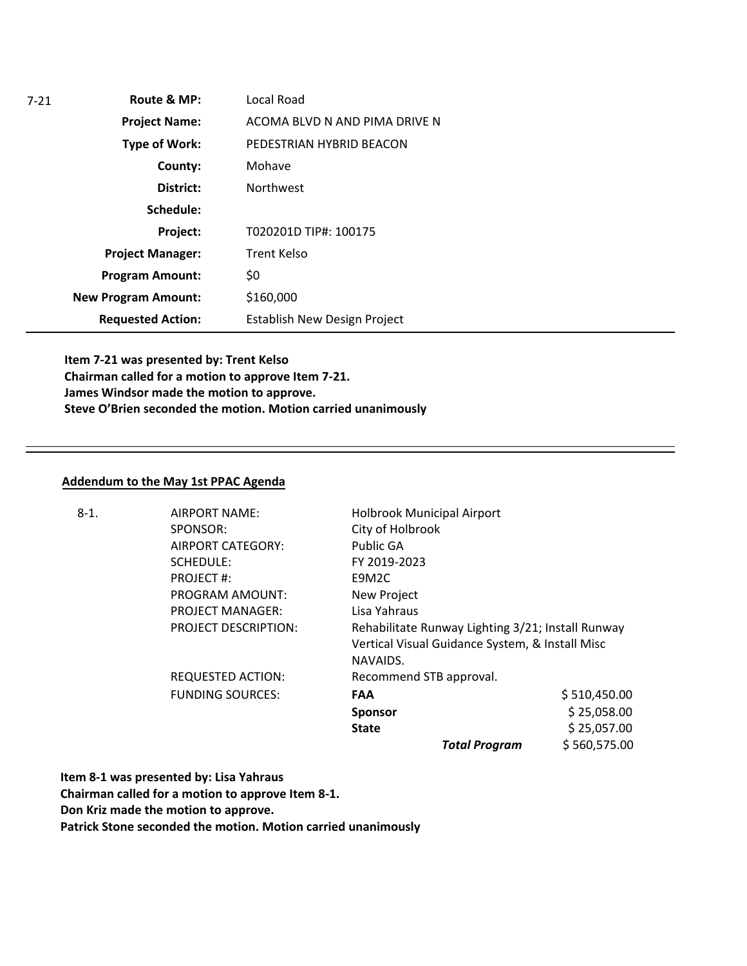| 7-21 | Route & MP:                | Local Road                    |
|------|----------------------------|-------------------------------|
|      | <b>Project Name:</b>       | ACOMA BLVD N AND PIMA DRIVE N |
|      | <b>Type of Work:</b>       | PEDESTRIAN HYBRID BEACON      |
|      | County:                    | Mohave                        |
|      | District:                  | <b>Northwest</b>              |
|      | Schedule:                  |                               |
|      | Project:                   | T020201D TIP#: 100175         |
|      | <b>Project Manager:</b>    | Trent Kelso                   |
|      | <b>Program Amount:</b>     | \$0                           |
|      | <b>New Program Amount:</b> | \$160,000                     |
|      | <b>Requested Action:</b>   | Establish New Design Project  |

**Item 7-21 was presented by: Trent Kelso Chairman called for a motion to approve Item 7-21. James Windsor made the motion to approve. Steve O'Brien seconded the motion. Motion carried unanimously** 

#### **Addendum to the May 1st PPAC Agenda**

| $8-1.$ | AIRPORT NAME:               | <b>Holbrook Municipal Airport</b>                                                                                |              |
|--------|-----------------------------|------------------------------------------------------------------------------------------------------------------|--------------|
|        | SPONSOR:                    | City of Holbrook                                                                                                 |              |
|        | AIRPORT CATEGORY:           | Public GA                                                                                                        |              |
|        | SCHEDULE:                   | FY 2019-2023                                                                                                     |              |
|        | <b>PROJECT#:</b>            | E9M2C                                                                                                            |              |
|        | <b>PROGRAM AMOUNT:</b>      | New Project                                                                                                      |              |
|        | <b>PROJECT MANAGER:</b>     | Lisa Yahraus                                                                                                     |              |
|        | <b>PROJECT DESCRIPTION:</b> | Rehabilitate Runway Lighting 3/21; Install Runway<br>Vertical Visual Guidance System, & Install Misc<br>NAVAIDS. |              |
|        | <b>REQUESTED ACTION:</b>    | Recommend STB approval.                                                                                          |              |
|        |                             |                                                                                                                  |              |
|        | <b>FUNDING SOURCES:</b>     | FAA                                                                                                              | \$510,450.00 |
|        |                             | <b>Sponsor</b>                                                                                                   | \$25,058.00  |
|        |                             | <b>State</b>                                                                                                     | \$25,057.00  |
|        |                             | <b>Total Program</b>                                                                                             | \$560,575.00 |

**Item 8-1 was presented by: Lisa Yahraus**

**Chairman called for a motion to approve Item 8-1.**

**Don Kriz made the motion to approve.**

**Patrick Stone seconded the motion. Motion carried unanimously**